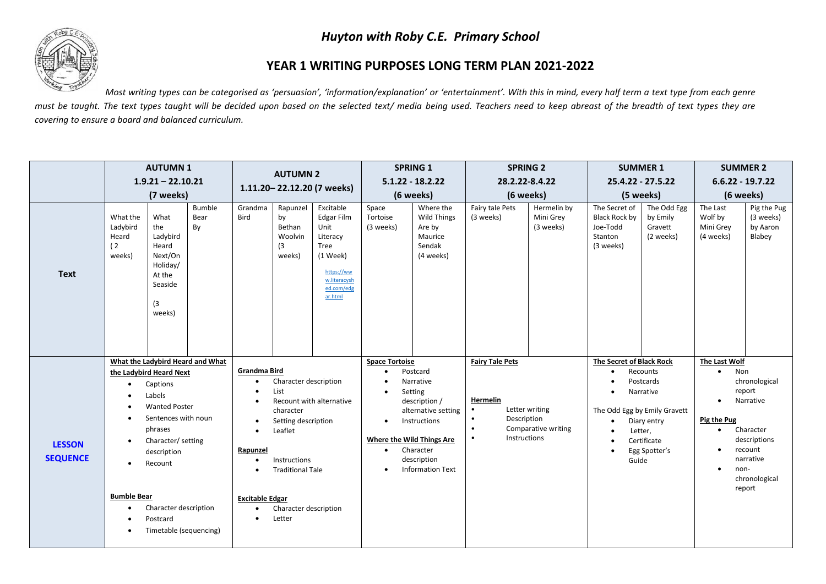## *Huyton with Roby C.E. Primary School*



## **YEAR 1 WRITING PURPOSES LONG TERM PLAN 2021-2022**

*Most writing types can be categorised as 'persuasion', 'information/explanation' or 'entertainment'. With this in mind, every half term a text type from each genre* must be taught. The text types taught will be decided upon based on the selected text/ media being used. Teachers need to keep abreast of the breadth of text types they are *covering to ensure a board and balanced curriculum.* 

|                                  | <b>AUTUMN1</b><br>$1.9.21 - 22.10.21$<br>(7 weeks)             |                                                                                                                                                                                                                        |                                  | <b>AUTUMN 2</b><br>1.11.20-22.12.20 (7 weeks)                                                                                                              |                                                                                                                                                            | <b>SPRING 1</b><br>$5.1.22 - 18.2.22$                                                                                  |                                                                                                                            | <b>SPRING 2</b><br>28.2.22-8.4.22                                                                                                               |                                                                                                          | <b>SUMMER 1</b><br>25.4.22 - 27.5.22  |                                                                                                                     | <b>SUMMER 2</b><br>$6.6.22 - 19.7.22$                                             |                                                                                                 |                                                                                                                      |
|----------------------------------|----------------------------------------------------------------|------------------------------------------------------------------------------------------------------------------------------------------------------------------------------------------------------------------------|----------------------------------|------------------------------------------------------------------------------------------------------------------------------------------------------------|------------------------------------------------------------------------------------------------------------------------------------------------------------|------------------------------------------------------------------------------------------------------------------------|----------------------------------------------------------------------------------------------------------------------------|-------------------------------------------------------------------------------------------------------------------------------------------------|----------------------------------------------------------------------------------------------------------|---------------------------------------|---------------------------------------------------------------------------------------------------------------------|-----------------------------------------------------------------------------------|-------------------------------------------------------------------------------------------------|----------------------------------------------------------------------------------------------------------------------|
|                                  |                                                                |                                                                                                                                                                                                                        |                                  |                                                                                                                                                            |                                                                                                                                                            |                                                                                                                        |                                                                                                                            |                                                                                                                                                 |                                                                                                          |                                       |                                                                                                                     |                                                                                   |                                                                                                 |                                                                                                                      |
|                                  |                                                                |                                                                                                                                                                                                                        |                                  |                                                                                                                                                            |                                                                                                                                                            | (6 weeks)                                                                                                              |                                                                                                                            | (6 weeks)                                                                                                                                       |                                                                                                          | (5 weeks)                             |                                                                                                                     | (6 weeks)                                                                         |                                                                                                 |                                                                                                                      |
| <b>Text</b>                      | What the<br>Ladybird<br>Heard<br>(2)<br>weeks)                 | What<br>the<br>Ladybird<br>Heard<br>Next/On<br>Holiday/<br>At the<br>Seaside<br>(3<br>weeks)                                                                                                                           | Bumble<br>Bear<br>By             | Grandma<br>Bird                                                                                                                                            | Rapunzel<br>by<br>Bethan<br>Woolvin<br>(3)<br>weeks)                                                                                                       | Excitable<br>Edgar Film<br>Unit<br>Literacy<br>Tree<br>(1 Week)<br>https://ww<br>w.literacysh<br>ed.com/edg<br>ar.html | Space<br>Tortoise<br>(3 weeks)                                                                                             | Where the<br><b>Wild Things</b><br>Are by<br>Maurice<br>Sendak<br>(4 weeks)                                                                     | Fairy tale Pets<br>(3 weeks)                                                                             | Hermelin by<br>Mini Grey<br>(3 weeks) | The Secret of<br>Black Rock by<br>Joe-Todd<br>Stanton<br>(3 weeks)                                                  | The Odd Egg<br>by Emily<br>Gravett<br>(2 weeks)                                   | The Last<br>Wolf by<br>Mini Grey<br>(4 weeks)                                                   | Pig the Pug<br>(3 weeks)<br>by Aaron<br>Blabey                                                                       |
| <b>LESSON</b><br><b>SEQUENCE</b> | $\bullet$<br>$\bullet$<br>$\bullet$<br><b>Bumble Bear</b><br>٠ | the Ladybird Heard Next<br>Captions<br>Labels<br><b>Wanted Poster</b><br>Sentences with noun<br>phrases<br>Character/ setting<br>description<br>Recount<br>Character description<br>Postcard<br>Timetable (sequencing) | What the Ladybird Heard and What | Grandma Bird<br>$\bullet$<br>$\bullet$<br>$\bullet$<br>$\bullet$<br>Rapunzel<br>$\bullet$<br>$\bullet$<br><b>Excitable Edgar</b><br>$\bullet$<br>$\bullet$ | Character description<br>List<br>character<br>Setting description<br>Leaflet<br>Instructions<br><b>Traditional Tale</b><br>Character description<br>Letter | Recount with alternative                                                                                               | <b>Space Tortoise</b><br>$\bullet$<br>$\bullet$<br>$\bullet$<br><b>Where the Wild Things Are</b><br>$\bullet$<br>$\bullet$ | Postcard<br>Narrative<br>Setting<br>description /<br>alternative setting<br>Instructions<br>Character<br>description<br><b>Information Text</b> | <b>Fairy Tale Pets</b><br>Hermelin<br>Description<br>$\bullet$<br>$\bullet$<br>Instructions<br>$\bullet$ | Letter writing<br>Comparative writing | The Secret of Black Rock<br>$\bullet$<br>$\bullet$<br>The Odd Egg by Emily Gravett<br>$\bullet$<br>Letter,<br>Guide | Recounts<br>Postcards<br>Narrative<br>Diary entry<br>Certificate<br>Egg Spotter's | The Last Wolf<br>Non<br>$\bullet$<br>$\bullet$<br>Pig the Pug<br>$\bullet$<br>non-<br>$\bullet$ | chronological<br>report<br>Narrative<br>Character<br>descriptions<br>recount<br>narrative<br>chronological<br>report |